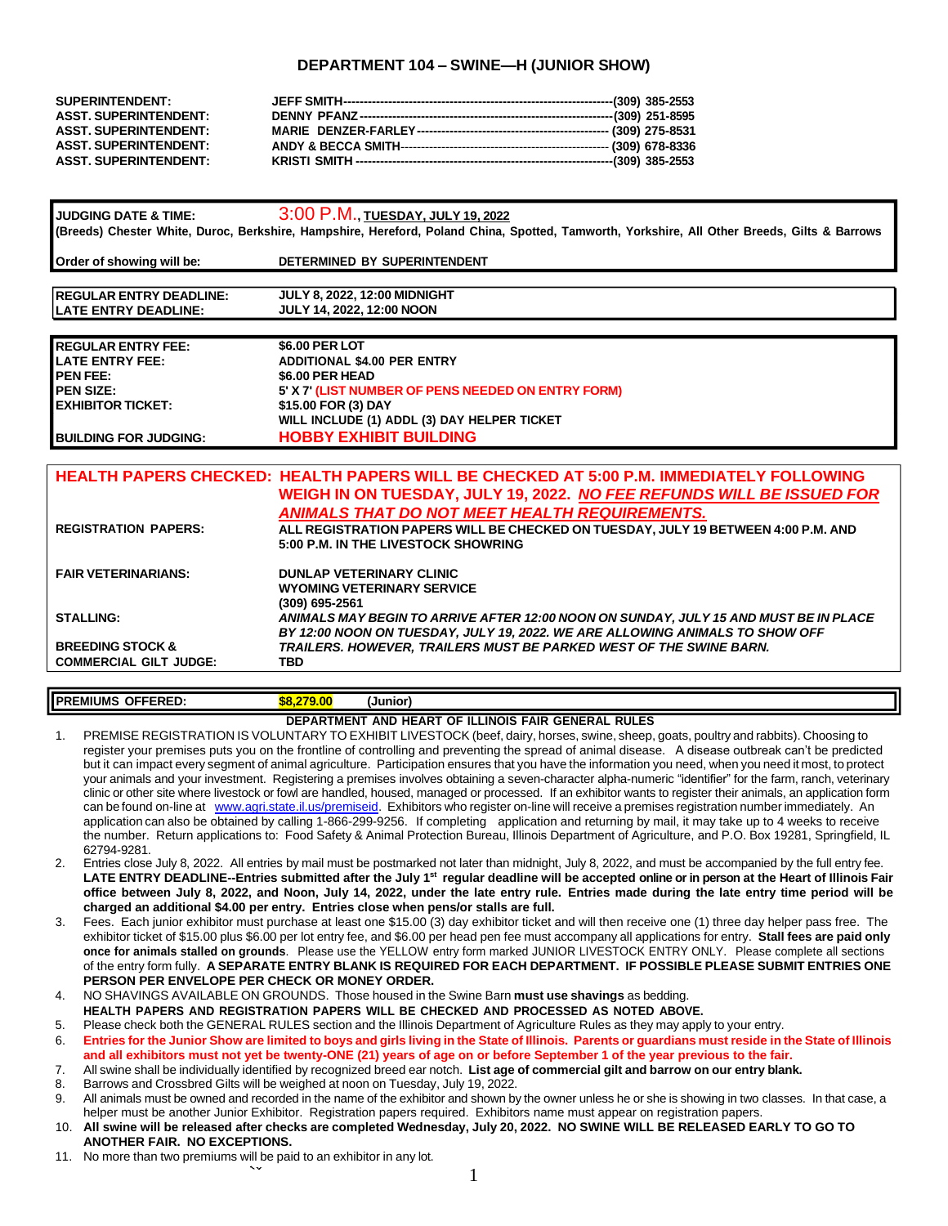## **DEPARTMENT 104 – SWINE—H (JUNIOR SHOW)**

| <b>SUPERINTENDENT:</b><br>ASST. SUPERINTENDENT:<br>ASST. SUPERINTENDENT:<br>ASST. SUPERINTENDENT: |  |
|---------------------------------------------------------------------------------------------------|--|
| ASST. SUPERINTENDENT:                                                                             |  |
|                                                                                                   |  |

| <b>JUDGING DATE &amp; TIME:</b>              | 3:00 P.M., TUESDAY, JULY 19, 2022                                                                                                                         |  |  |  |
|----------------------------------------------|-----------------------------------------------------------------------------------------------------------------------------------------------------------|--|--|--|
|                                              | (Breeds) Chester White, Duroc, Berkshire, Hampshire, Hereford, Poland China, Spotted, Tamworth, Yorkshire, All Other Breeds, Gilts & Barrows              |  |  |  |
|                                              |                                                                                                                                                           |  |  |  |
| Order of showing will be:                    | DETERMINED BY SUPERINTENDENT                                                                                                                              |  |  |  |
|                                              |                                                                                                                                                           |  |  |  |
| <b>IREGULAR ENTRY DEADLINE:</b>              | <b>JULY 8, 2022, 12:00 MIDNIGHT</b>                                                                                                                       |  |  |  |
| <b>ILATE ENTRY DEADLINE:</b>                 | JULY 14, 2022, 12:00 NOON                                                                                                                                 |  |  |  |
|                                              |                                                                                                                                                           |  |  |  |
| <b>REGULAR ENTRY FEE:</b><br>LATE ENTRY FEE: | \$6.00 PER LOT<br><b>ADDITIONAL \$4.00 PER ENTRY</b>                                                                                                      |  |  |  |
| <b>PENFEE:</b>                               | \$6.00 PER HEAD                                                                                                                                           |  |  |  |
| <b>PEN SIZE:</b>                             | 5' X 7' (LIST NUMBER OF PENS NEEDED ON ENTRY FORM)                                                                                                        |  |  |  |
| <b>EXHIBITOR TICKET:</b>                     | \$15.00 FOR (3) DAY                                                                                                                                       |  |  |  |
|                                              | WILL INCLUDE (1) ADDL (3) DAY HELPER TICKET                                                                                                               |  |  |  |
| <b>BUILDING FOR JUDGING:</b>                 | <b>HOBBY EXHIBIT BUILDING</b>                                                                                                                             |  |  |  |
|                                              |                                                                                                                                                           |  |  |  |
|                                              |                                                                                                                                                           |  |  |  |
|                                              | <b>HEALTH PAPERS CHECKED: HEALTH PAPERS WILL BE CHECKED AT 5:00 P.M. IMMEDIATELY FOLLOWING</b>                                                            |  |  |  |
|                                              | WEIGH IN ON TUESDAY, JULY 19, 2022. NO FEE REFUNDS WILL BE ISSUED FOR                                                                                     |  |  |  |
|                                              |                                                                                                                                                           |  |  |  |
| <b>REGISTRATION PAPERS:</b>                  | <b>ANIMALS THAT DO NOT MEET HEALTH REQUIREMENTS.</b><br>ALL REGISTRATION PAPERS WILL BE CHECKED ON TUESDAY, JULY 19 BETWEEN 4:00 P.M. AND                 |  |  |  |
|                                              | 5:00 P.M. IN THE LIVESTOCK SHOWRING                                                                                                                       |  |  |  |
|                                              |                                                                                                                                                           |  |  |  |
| <b>FAIR VETERINARIANS:</b>                   | <b>DUNLAP VETERINARY CLINIC</b>                                                                                                                           |  |  |  |
|                                              | <b>WYOMING VETERINARY SERVICE</b>                                                                                                                         |  |  |  |
|                                              | (309) 695-2561                                                                                                                                            |  |  |  |
| <b>STALLING:</b>                             | ANIMALS MAY BEGIN TO ARRIVE AFTER 12:00 NOON ON SUNDAY, JULY 15 AND MUST BE IN PLACE                                                                      |  |  |  |
| <b>BREEDING STOCK &amp;</b>                  | BY 12:00 NOON ON TUESDAY, JULY 19, 2022, WE ARE ALLOWING ANIMALS TO SHOW OFF<br><b>TRAILERS. HOWEVER, TRAILERS MUST BE PARKED WEST OF THE SWINE BARN.</b> |  |  |  |
| <b>COMMERCIAL GILT JUDGE:</b>                | <b>TBD</b>                                                                                                                                                |  |  |  |

| <b>IPREMIUMS</b><br><b>OFFERED:</b> | 79.00<br><b>S8.2</b> | (Junior)                                           |
|-------------------------------------|----------------------|----------------------------------------------------|
|                                     | <b>DEPARTMENT</b>    | AND HEART OF ILLINOIS FAIR GENERAL<br><b>RULES</b> |

- 1. PREMISE REGISTRATION IS VOLUNTARY TO EXHIBIT LIVESTOCK (beef, dairy, horses, swine, sheep, goats, poultry and rabbits). Choosing to register your premises puts you on the frontline of controlling and preventing the spread of animal disease. A disease outbreak can't be predicted but it can impact every segment of animal agriculture. Participation ensures that you have the information you need, when you need it most, to protect your animals and your investment. Registering a premises involves obtaining a seven-character alpha-numeric "identifier" for the farm, ranch, veterinary clinic or other site where livestock or fowl are handled, housed, managed or processed. If an exhibitor wants to register their animals, an application form can be found on-line at [www.agri.state.il.us/premiseid.](http://www.agri.state.il.us/premiseid) Exhibitors who register on-line will receive a premises registration number immediately. An application can also be obtained by calling 1-866-299-9256. If completing application and returning by mail, it may take up to 4 weeks to receive the number. Return applications to: Food Safety & Animal Protection Bureau, Illinois Department of Agriculture, and P.O. Box 19281, Springfield, IL 62794-9281.
- 2. Entries close July 8, 2022. All entries by mail must be postmarked not later than midnight, July 8, 2022, and must be accompanied by the full entry fee. LATE ENTRY DEADLINE--Entries submitted after the July 1<sup>st</sup> regular deadline will be accepted online or in person at the Heart of Illinois Fair office between July 8, 2022, and Noon, July 14, 2022, under the late entry rule. Entries made during the late entry time period will be **charged an additional \$4.00 per entry. Entries close when pens/or stalls are full.**
- 3. Fees. Each junior exhibitor must purchase at least one \$15.00 (3) day exhibitor ticket and will then receive one (1) three day helper pass free. The exhibitor ticket of \$15.00 plus \$6.00 per lot entry fee, and \$6.00 per head pen fee must accompany all applications for entry. **Stall fees are paid only once for animals stalled on grounds**. Please use the YELLOW entry form marked JUNIOR LIVESTOCK ENTRY ONLY. Please complete all sections of the entry form fully. **A SEPARATE ENTRY BLANK IS REQUIRED FOR EACH DEPARTMENT. IF POSSIBLE PLEASE SUBMIT ENTRIES ONE PERSON PER ENVELOPE PER CHECK OR MONEY ORDER.**
- 4. NO SHAVINGS AVAILABLE ON GROUNDS. Those housed in the Swine Barn **must use shavings** as bedding. **HEALTH PAPERS AND REGISTRATION PAPERS WILL BE CHECKED AND PROCESSED AS NOTED ABOVE.**
- 5. Please check both the GENERAL RULES section and the Illinois Department of Agriculture Rules as they may apply to your entry.
- 6. Entries for the Junior Show are limited to boys and girls living in the State of Illinois. Parents or guardians must reside in the State of Illinois **and all exhibitors must not yet be twenty-ONE (21) years of age on or before September 1 of the year previous to the fair.**
- 7. All swine shall be individually identified by recognized breed ear notch. **List age of commercial gilt and barrow on our entry blank.**
- 8. Barrows and Crossbred Gilts will be weighed at noon on Tuesday, July 19, 2022.
- 9. All animals must be owned and recorded in the name of the exhibitor and shown by the owner unless he or she is showing in two classes. In that case, a helper must be another Junior Exhibitor. Registration papers required. Exhibitors name must appear on registration papers.
- 10. **All swine will be released after checks are completed Wednesday, July 20, 2022. NO SWINE WILL BE RELEASED EARLY TO GO TO ANOTHER FAIR. NO EXCEPTIONS.**
- 11. No more than two premiums will be paid to an exhibitor in any lot.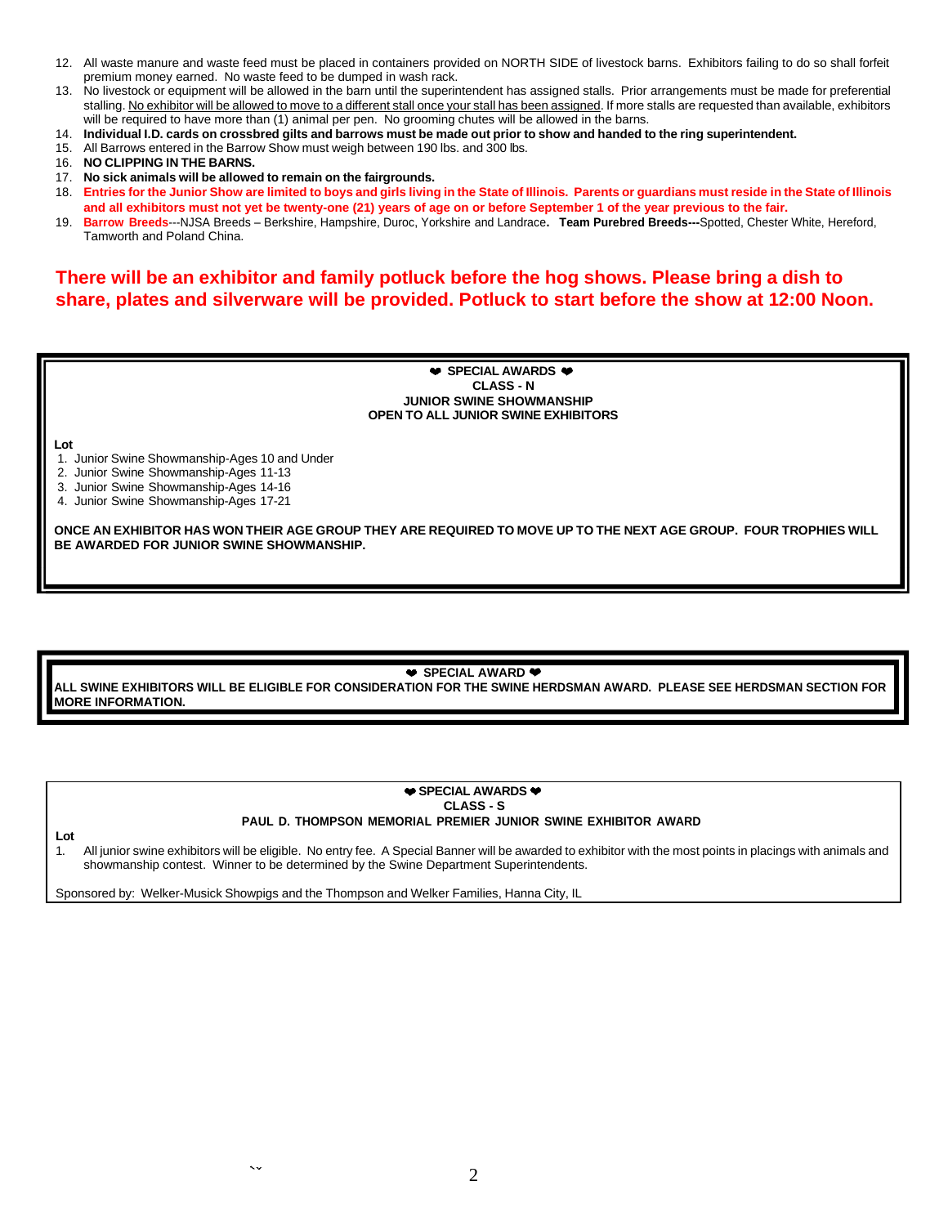- 12. All waste manure and waste feed must be placed in containers provided on NORTH SIDE of livestock barns. Exhibitors failing to do so shall forfeit premium money earned. No waste feed to be dumped in wash rack.
- 13. No livestock or equipment will be allowed in the barn until the superintendent has assigned stalls. Prior arrangements must be made for preferential stalling. No exhibitor will be allowed to move to a different stall once your stall has been assigned. If more stalls are requested than available, exhibitors will be required to have more than (1) animal per pen. No grooming chutes will be allowed in the barns.
- 14. Individual I.D. cards on crossbred gilts and barrows must be made out prior to show and handed to the ring superintendent.
- 15. All Barrows entered in the Barrow Show must weigh between 190 lbs. and 300 lbs.
- 16. **NO CLIPPING IN THE BARNS.**
- 17. **No sick animals will be allowed to remain on the fairgrounds.**
- 18. Entries for the Junior Show are limited to boys and girls living in the State of Illinois. Parents or guardians must reside in the State of Illinois **and all exhibitors must not yet be twenty-one (21) years of age on or before September 1 of the year previous to the fair.**
- 19. **Barrow Breeds**---NJSA Breeds Berkshire, Hampshire, Duroc, Yorkshire and Landrace**. Team Purebred Breeds---**Spotted, Chester White, Hereford, Tamworth and Poland China.

## **There will be an exhibitor and family potluck before the hog shows. Please bring a dish to share, plates and silverware will be provided. Potluck to start before the show at 12:00 Noon.**

**SPECIAL AWARDS CLASS - N JUNIOR SWINE SHOWMANSHIP OPEN TO ALL JUNIOR SWINE EXHIBITORS**

**Lot**

- 1. Junior Swine Showmanship-Ages 10 and Under
- 2. Junior Swine Showmanship-Ages 11-13
- 3. Junior Swine Showmanship-Ages 14-16
- 4. Junior Swine Showmanship-Ages 17-21

ONCE AN EXHIBITOR HAS WON THEIR AGE GROUP THEY ARE REQUIRED TO MOVE UP TO THE NEXT AGE GROUP. FOUR TROPHIES WILL **BE AWARDED FOR JUNIOR SWINE SHOWMANSHIP.**

## **SPECIAL AWARD**

**ALL SWINE EXHIBITORS WILL BE ELIGIBLE FOR CONSIDERATION FOR THE SWINE HERDSMAN AWARD. PLEASE SEE HERDSMAN SECTION FOR MORE INFORMATION.**

## **SPECIAL AWARDS CLASS - S PAUL D. THOMPSON MEMORIAL PREMIER JUNIOR SWINE EXHIBITOR AWARD**

**Lot** 1. All junior swine exhibitors will be eligible. No entry fee. A Special Banner will be awarded to exhibitor with the most points in placings with animals and showmanship contest. Winner to be determined by the Swine Department Superintendents.

Sponsored by: Welker-Musick Showpigs and the Thompson and Welker Families, Hanna City, IL

 $\sim$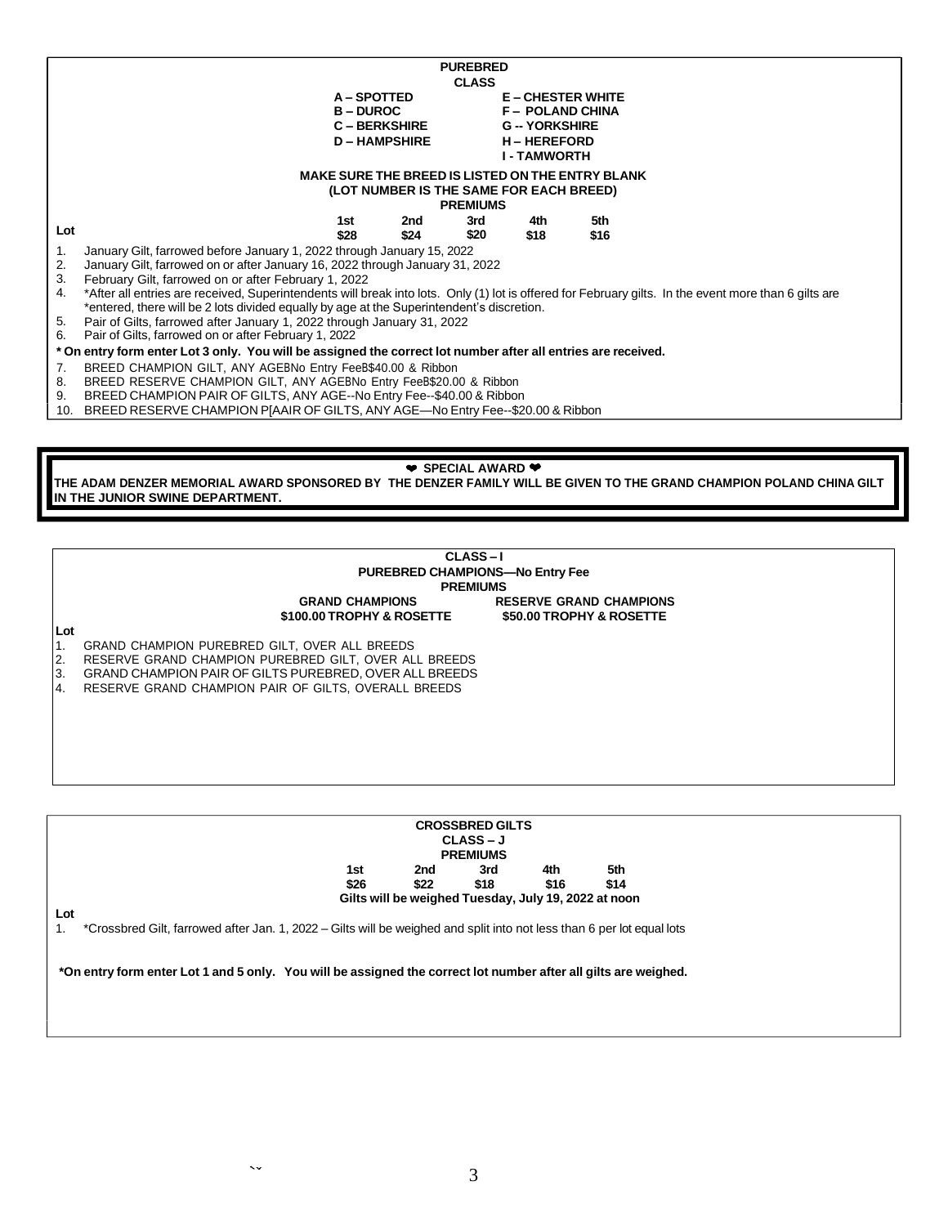|     |                                                                                                                                                             | <b>PUREBRED</b>      |                        |      |  |  |  |  |  |
|-----|-------------------------------------------------------------------------------------------------------------------------------------------------------------|----------------------|------------------------|------|--|--|--|--|--|
|     | <b>CLASS</b>                                                                                                                                                |                      |                        |      |  |  |  |  |  |
|     | A – SPOTTED                                                                                                                                                 |                      | <b>E-CHESTER WHITE</b> |      |  |  |  |  |  |
|     | <b>B – DUROC</b>                                                                                                                                            |                      | <b>F-POLAND CHINA</b>  |      |  |  |  |  |  |
|     |                                                                                                                                                             | <b>C – BERKSHIRE</b> | <b>G-YORKSHIRE</b>     |      |  |  |  |  |  |
|     | <b>D – HAMPSHIRE</b>                                                                                                                                        |                      | <b>H-HEREFORD</b>      |      |  |  |  |  |  |
|     |                                                                                                                                                             |                      | <b>I - TAMWORTH</b>    |      |  |  |  |  |  |
|     | <b>MAKE SURE THE BREED IS LISTED ON THE ENTRY BLANK</b>                                                                                                     |                      |                        |      |  |  |  |  |  |
|     | (LOT NUMBER IS THE SAME FOR EACH BREED)                                                                                                                     |                      |                        |      |  |  |  |  |  |
|     |                                                                                                                                                             | <b>PREMIUMS</b>      |                        |      |  |  |  |  |  |
|     | 1st                                                                                                                                                         | 3rd<br>2nd           | 4th                    | 5th  |  |  |  |  |  |
| Lot | \$28                                                                                                                                                        | \$20<br>\$24         | \$18                   | \$16 |  |  |  |  |  |
| 1.  | January Gilt, farrowed before January 1, 2022 through January 15, 2022                                                                                      |                      |                        |      |  |  |  |  |  |
| 2.  | January Gilt, farrowed on or after January 16, 2022 through January 31, 2022                                                                                |                      |                        |      |  |  |  |  |  |
| 3.  | February Gilt, farrowed on or after February 1, 2022                                                                                                        |                      |                        |      |  |  |  |  |  |
|     | 4.<br>*After all entries are received, Superintendents will break into lots. Only (1) lot is offered for February gilts. In the event more than 6 gilts are |                      |                        |      |  |  |  |  |  |
|     | *entered, there will be 2 lots divided equally by age at the Superintendent's discretion.                                                                   |                      |                        |      |  |  |  |  |  |
| 5.  | Pair of Gilts, farrowed after January 1, 2022 through January 31, 2022                                                                                      |                      |                        |      |  |  |  |  |  |
|     | Pair of Gilts, farrowed on or after February 1, 2022<br>6.                                                                                                  |                      |                        |      |  |  |  |  |  |
|     | * On entry form enter Lot 3 only. You will be assigned the correct lot number after all entries are received.                                               |                      |                        |      |  |  |  |  |  |
| 7.  | BREED CHAMPION GILT, ANY AGEBNo Entry FeeB\$40.00 & Ribbon                                                                                                  |                      |                        |      |  |  |  |  |  |
| 8.  | BREED RESERVE CHAMPION GILT, ANY AGEBNo Entry FeeB\$20.00 & Ribbon                                                                                          |                      |                        |      |  |  |  |  |  |
| 9.  | BREED CHAMPION PAIR OF GILTS, ANY AGE--No Entry Fee--\$40.00 & Ribbon                                                                                       |                      |                        |      |  |  |  |  |  |
|     | 10. BREED RESERVE CHAMPION P[AAIR OF GILTS, ANY AGE—No Entry Fee--\$20.00 & Ribbon                                                                          |                      |                        |      |  |  |  |  |  |
|     |                                                                                                                                                             |                      |                        |      |  |  |  |  |  |

**SPECIAL AWARD**

**THE ADAM DENZER MEMORIAL AWARD SPONSORED BY THE DENZER FAMILY WILL BE GIVEN TO THE GRAND CHAMPION POLAND CHINA GILT IN THE JUNIOR SWINE DEPARTMENT.**

| <b>PUREBRED CHAMPIONS-No Entry Fee</b> |  |  |  |  |
|----------------------------------------|--|--|--|--|
| <b>PREMIUMS</b>                        |  |  |  |  |
| <b>RESERVE GRAND CHAMPIONS</b>         |  |  |  |  |
| \$50.00 TROPHY & ROSETTE               |  |  |  |  |
|                                        |  |  |  |  |
|                                        |  |  |  |  |
|                                        |  |  |  |  |
|                                        |  |  |  |  |
|                                        |  |  |  |  |
|                                        |  |  |  |  |
|                                        |  |  |  |  |
|                                        |  |  |  |  |
|                                        |  |  |  |  |



 $\overline{\mathbf{v}}$